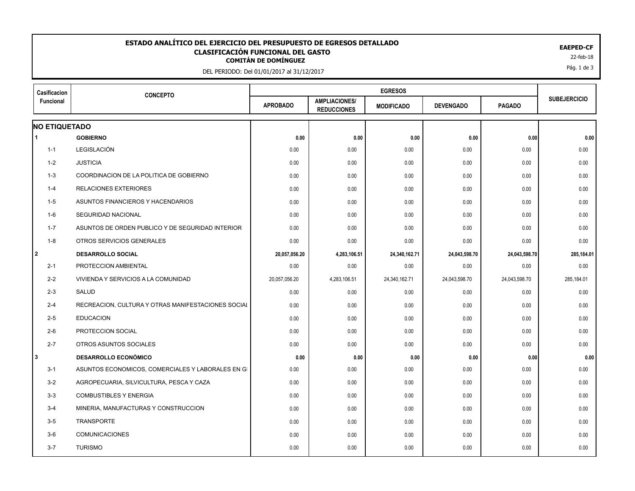## EAEPED-CF<br>**CLASIFICACIÓN FUNCIONAL DEL GASTO**<br>22-feb-18 <sup>22-feb-18</sup> **ESTADO ANALÍTICO DEL EJERCICIO DEL PRESUPUESTO DE EGRESOS DETALLADO EAEPED-CF CLASIFICACIÓN FUNCIONAL DEL GASTO**

DEL PERIODO: Del 01/01/2017 al 31/12/2017

| Casificacion<br>Funcional | <b>CONCEPTO</b>                                    |                 |                                            |                   |                  |               |                     |
|---------------------------|----------------------------------------------------|-----------------|--------------------------------------------|-------------------|------------------|---------------|---------------------|
|                           |                                                    | <b>APROBADO</b> | <b>AMPLIACIONES/</b><br><b>REDUCCIONES</b> | <b>MODIFICADO</b> | <b>DEVENGADO</b> | <b>PAGADO</b> | <b>SUBEJERCICIO</b> |
| <b>NO ETIQUETADO</b>      |                                                    |                 |                                            |                   |                  |               |                     |
| 1                         | <b>GOBIERNO</b>                                    | 0.00            | 0.00                                       | 0.00              | 0.00             | 0.00          | 0.00                |
| $1 - 1$                   | LEGISLACIÓN                                        | 0.00            | 0.00                                       | 0.00              | 0.00             | 0.00          | 0.00                |
| $1 - 2$                   | <b>JUSTICIA</b>                                    | 0.00            | 0.00                                       | 0.00              | 0.00             | 0.00          | 0.00                |
| $1 - 3$                   | COORDINACION DE LA POLITICA DE GOBIERNO            | 0.00            | 0.00                                       | 0.00              | 0.00             | 0.00          | 0.00                |
| $1 - 4$                   | <b>RELACIONES EXTERIORES</b>                       | 0.00            | 0.00                                       | 0.00              | 0.00             | 0.00          | 0.00                |
| $1 - 5$                   | ASUNTOS FINANCIEROS Y HACENDARIOS                  | 0.00            | 0.00                                       | 0.00              | 0.00             | 0.00          | 0.00                |
| $1-6$                     | SEGURIDAD NACIONAL                                 | 0.00            | 0.00                                       | 0.00              | 0.00             | 0.00          | 0.00                |
| $1 - 7$                   | ASUNTOS DE ORDEN PUBLICO Y DE SEGURIDAD INTERIOR   | 0.00            | 0.00                                       | 0.00              | 0.00             | 0.00          | 0.00                |
| $1 - 8$                   | OTROS SERVICIOS GENERALES                          | 0.00            | 0.00                                       | 0.00              | 0.00             | 0.00          | 0.00                |
| l 2                       | <b>DESARROLLO SOCIAL</b>                           | 20,057,056.20   | 4,283,106.51                               | 24,340,162.71     | 24,043,598.70    | 24,043,598.70 | 285,184.01          |
| $2 - 1$                   | PROTECCION AMBIENTAL                               | 0.00            | 0.00                                       | 0.00              | 0.00             | 0.00          | 0.00                |
| $2 - 2$                   | VIVIENDA Y SERVICIOS A LA COMUNIDAD                | 20,057,056.20   | 4,283,106.51                               | 24,340,162.71     | 24,043,598.70    | 24,043,598.70 | 285,184.01          |
| $2 - 3$                   | SALUD                                              | 0.00            | 0.00                                       | 0.00              | 0.00             | 0.00          | 0.00                |
| $2 - 4$                   | RECREACION, CULTURA Y OTRAS MANIFESTACIONES SOCIAL | 0.00            | 0.00                                       | 0.00              | 0.00             | 0.00          | 0.00                |
| $2 - 5$                   | <b>EDUCACION</b>                                   | 0.00            | 0.00                                       | 0.00              | 0.00             | 0.00          | 0.00                |
| $2 - 6$                   | PROTECCION SOCIAL                                  | 0.00            | 0.00                                       | 0.00              | 0.00             | 0.00          | 0.00                |
| $2 - 7$                   | OTROS ASUNTOS SOCIALES                             | 0.00            | 0.00                                       | 0.00              | 0.00             | 0.00          | 0.00                |
| 3                         | <b>DESARROLLO ECONÓMICO</b>                        | 0.00            | 0.00                                       | 0.00              | 0.00             | 0.00          | 0.00                |
| $3 - 1$                   | ASUNTOS ECONOMICOS, COMERCIALES Y LABORALES EN GI  | 0.00            | 0.00                                       | 0.00              | 0.00             | 0.00          | 0.00                |
| $3 - 2$                   | AGROPECUARIA, SILVICULTURA, PESCA Y CAZA           | 0.00            | 0.00                                       | 0.00              | 0.00             | 0.00          | 0.00                |
| $3 - 3$                   | <b>COMBUSTIBLES Y ENERGIA</b>                      | 0.00            | 0.00                                       | 0.00              | 0.00             | 0.00          | 0.00                |
| $3 - 4$                   | MINERIA, MANUFACTURAS Y CONSTRUCCION               | 0.00            | 0.00                                       | 0.00              | 0.00             | 0.00          | 0.00                |
| $3 - 5$                   | <b>TRANSPORTE</b>                                  | 0.00            | 0.00                                       | 0.00              | 0.00             | 0.00          | 0.00                |
| $3-6$                     | <b>COMUNICACIONES</b>                              | 0.00            | 0.00                                       | 0.00              | 0.00             | 0.00          | 0.00                |
| $3 - 7$                   | <b>TURISMO</b>                                     | 0.00            | 0.00                                       | 0.00              | 0.00             | 0.00          | 0.00                |
|                           |                                                    |                 |                                            |                   |                  |               |                     |

Pág. 1 de 3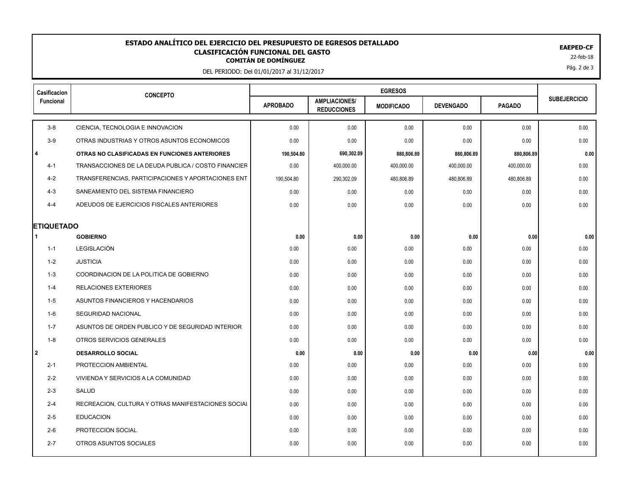## EAEPED-CF<br>**CLASIFICACIÓN FUNCIONAL DEL GASTO**<br>22-feb-18 <sup>22-feb-18</sup> **ESTADO ANALÍTICO DEL EJERCICIO DEL PRESUPUESTO DE EGRESOS DETALLADO EAEPED-CF CLASIFICACIÓN FUNCIONAL DEL GASTO**

DEL PERIODO: Del 01/01/2017 al 31/12/2017

| Casificacion      | <b>CONCEPTO</b>                                     |                 |                                            |                   |                  |               |                     |
|-------------------|-----------------------------------------------------|-----------------|--------------------------------------------|-------------------|------------------|---------------|---------------------|
| Funcional         |                                                     | <b>APROBADO</b> | <b>AMPLIACIONES/</b><br><b>REDUCCIONES</b> | <b>MODIFICADO</b> | <b>DEVENGADO</b> | <b>PAGADO</b> | <b>SUBEJERCICIO</b> |
| $3 - 8$           | CIENCIA, TECNOLOGIA E INNOVACION                    | 0.00            | 0.00                                       | 0.00              | 0.00             | 0.00          | 0.00                |
| $3-9$             | OTRAS INDUSTRIAS Y OTROS ASUNTOS ECONOMICOS         | 0.00            | 0.00                                       | 0.00              | 0.00             | 0.00          | 0.00                |
| $\overline{4}$    | OTRAS NO CLASIFICADAS EN FUNCIONES ANTERIORES       | 190,504.80      | 690,302.09                                 | 880,806.89        | 880,806.89       | 880,806.89    | 0.00                |
| $4 - 1$           | TRANSACCIONES DE LA DEUDA PUBLICA / COSTO FINANCIER | 0.00            | 400,000.00                                 | 400,000.00        | 400,000.00       | 400,000.00    | 0.00                |
| $4 - 2$           | TRANSFERENCIAS, PARTICIPACIONES Y APORTACIONES ENT  | 190,504.80      | 290,302.09                                 | 480,806.89        | 480,806.89       | 480,806.89    | 0.00                |
| $4 - 3$           | SANEAMIENTO DEL SISTEMA FINANCIERO                  | 0.00            | 0.00                                       | 0.00              | 0.00             | 0.00          | 0.00                |
| $4 - 4$           | ADEUDOS DE EJERCICIOS FISCALES ANTERIORES           | 0.00            | 0.00                                       | 0.00              | 0.00             | 0.00          | 0.00                |
| <b>ETIQUETADO</b> |                                                     |                 |                                            |                   |                  |               |                     |
|                   | <b>GOBIERNO</b>                                     | 0.00            | 0.00                                       | 0.00              | 0.00             | 0.00          | 0.00                |
| $1 - 1$           | <b>LEGISLACIÓN</b>                                  | 0.00            | 0.00                                       | 0.00              | 0.00             | 0.00          | 0.00                |
| $1 - 2$           | <b>JUSTICIA</b>                                     | 0.00            | 0.00                                       | 0.00              | 0.00             | 0.00          | 0.00                |
| $1 - 3$           | COORDINACION DE LA POLITICA DE GOBIERNO             | 0.00            | 0.00                                       | 0.00              | 0.00             | 0.00          | 0.00                |
| 1-4               | RELACIONES EXTERIORES                               | 0.00            | 0.00                                       | 0.00              | 0.00             | 0.00          | 0.00                |
| 1-5               | ASUNTOS FINANCIEROS Y HACENDARIOS                   | 0.00            | 0.00                                       | 0.00              | 0.00             | 0.00          | 0.00                |
| $1 - 6$           | <b>SEGURIDAD NACIONAL</b>                           | 0.00            | 0.00                                       | 0.00              | 0.00             | 0.00          | 0.00                |
| $1 - 7$           | ASUNTOS DE ORDEN PUBLICO Y DE SEGURIDAD INTERIOR    | 0.00            | 0.00                                       | 0.00              | 0.00             | 0.00          | 0.00                |
| $1 - 8$           | OTROS SERVICIOS GENERALES                           | 0.00            | 0.00                                       | 0.00              | 0.00             | 0.00          | 0.00                |
| 2                 | <b>DESARROLLO SOCIAL</b>                            | 0.00            | 0.00                                       | 0.00              | 0.00             | 0.00          | 0.00                |
| $2 - 1$           | PROTECCION AMBIENTAL                                | 0.00            | 0.00                                       | 0.00              | 0.00             | 0.00          | 0.00                |
| $2 - 2$           | VIVIENDA Y SERVICIOS A LA COMUNIDAD                 | 0.00            | 0.00                                       | 0.00              | 0.00             | 0.00          | 0.00                |
| $2 - 3$           | SALUD                                               | 0.00            | 0.00                                       | 0.00              | 0.00             | 0.00          | 0.00                |
| $2 - 4$           | RECREACION, CULTURA Y OTRAS MANIFESTACIONES SOCIAL  | 0.00            | 0.00                                       | 0.00              | 0.00             | 0.00          | 0.00                |
| $2 - 5$           | <b>EDUCACION</b>                                    | 0.00            | 0.00                                       | 0.00              | 0.00             | 0.00          | 0.00                |
| $2-6$             | PROTECCION SOCIAL                                   | 0.00            | 0.00                                       | 0.00              | 0.00             | 0.00          | 0.00                |
| $2 - 7$           | OTROS ASUNTOS SOCIALES                              | 0.00            | 0.00                                       | 0.00              | 0.00             | 0.00          | 0.00                |
|                   |                                                     |                 |                                            |                   |                  |               |                     |

Pág. 2 de 3